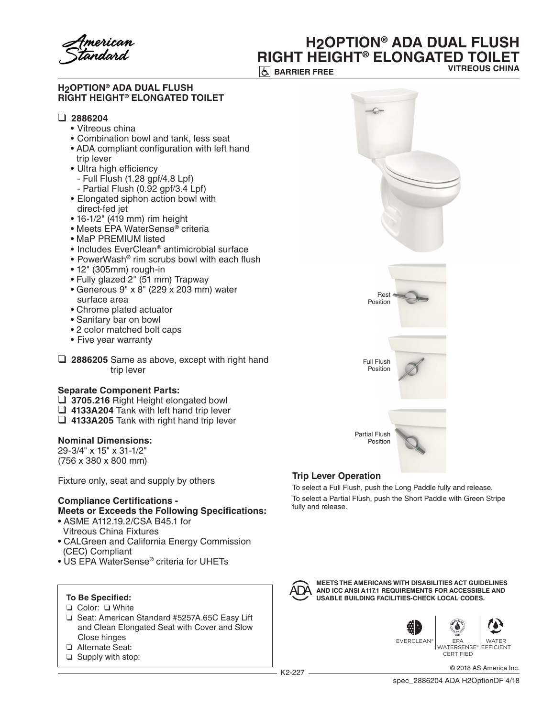merican

## **H2OPTION® ADA DUAL FLUSH RIGHT HEIGHT® ELONGATED TOILET VITREOUS CHINA**

**BARRIER FREE** 

#### **H2OPTION® ADA DUAL FLUSH RIGHT HEIGHT® ELONGATED TOILET**

## ❑ **2886204**

- • Vitreous china
- • Combination bowl and tank, less seat
- ADA compliant configuration with left hand trip lever
- Ultra high efficiency
	- Full Flush (1.28 gpf/4.8 Lpf)
	- Partial Flush (0.92 gpf/3.4 Lpf)
- Elongated siphon action bowl with direct-fed jet
- 16-1/2" (419 mm) rim height
- Meets EPA WaterSense® criteria
- MaP PREMIUM listed
- Includes EverClean<sup>®</sup> antimicrobial surface
- PowerWash<sup>®</sup> rim scrubs bowl with each flush
- 12" (305mm) rough-in
- Fully glazed 2" (51 mm) Trapway
- Generous 9" x 8" (229 x 203 mm) water surface area
- Chrome plated actuator
- Sanitary bar on bowl
- 2 color matched bolt caps
- • Five year warranty
- ❑ **2886205** Same as above, except with right hand trip lever

## **Separate Component Parts:**

- ❑ **3705.216** Right Height elongated bowl
- ❑ **4133A204** Tank with left hand trip lever
- ❑ **4133A205** Tank with right hand trip lever

## **Nominal Dimensions:**

29-3/4" x 15" x 31-1/2" (756 x 380 x 800 mm)

Fixture only, seat and supply by others

# **Compliance Certifications -**

## **Meets or Exceeds the Following Specifications:**

- ASME A112.19.2/CSA B45.1 for Vitreous China Fixtures
- CALGreen and California Energy Commission (CEC) Compliant
- US EPA WaterSense® criteria for UHETs

## **To Be Specified:**

- ❏ Color: ❏ White
- ❏ Seat: American Standard #5257A.65C Easy Lift and Clean Elongated Seat with Cover and Slow Close hinges
- ❏ Alternate Seat:
- ❏ Supply with stop:



## **Trip Lever Operation**

To select a Full Flush, push the Long Paddle fully and release. To select a Partial Flush, push the Short Paddle with Green Stripe fully and release.



**MEETS THE AMERICANS WITH DISABILITIES ACT GUIDELINES AND ICC ANSI A117.1 REQUIREMENTS FOR ACCESSIBLE AND USABLE BUILDING FACILITIES-CHECK LOCAL CODES.**



EVERCLEAN® EPA WATERSENSE® EFFICIENT **CERTIFIED** 

K2-227 © 2018 AS America Inc.